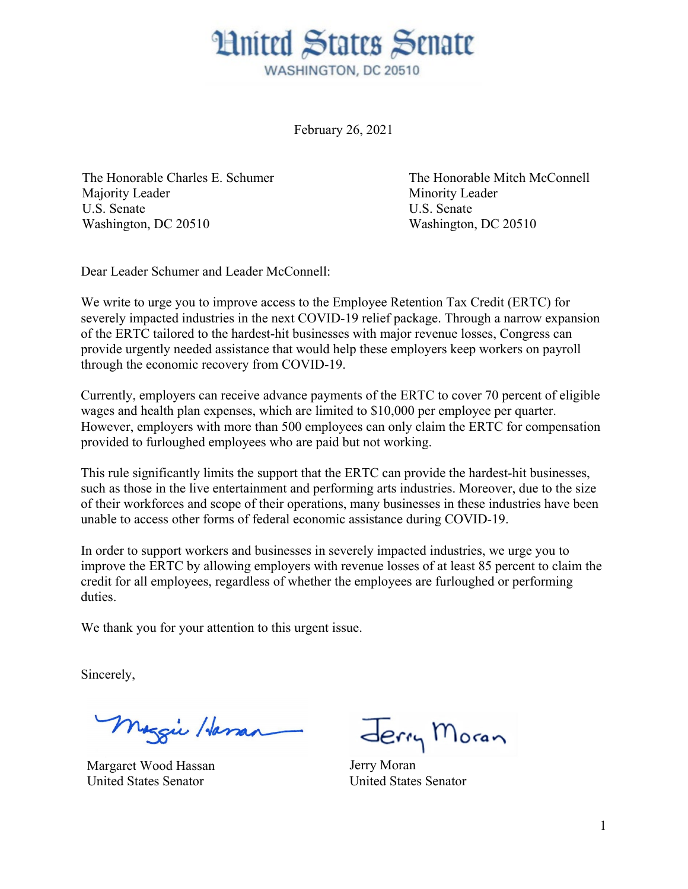

February 26, 2021

The Honorable Charles E. Schumer Majority Leader U.S. Senate Washington, DC 20510

The Honorable Mitch McConnell Minority Leader U.S. Senate Washington, DC 20510

Dear Leader Schumer and Leader McConnell:

We write to urge you to improve access to the Employee Retention Tax Credit (ERTC) for severely impacted industries in the next COVID-19 relief package. Through a narrow expansion of the ERTC tailored to the hardest-hit businesses with major revenue losses, Congress can provide urgently needed assistance that would help these employers keep workers on payroll through the economic recovery from COVID-19.

Currently, employers can receive advance payments of the ERTC to cover 70 percent of eligible wages and health plan expenses, which are limited to \$10,000 per employee per quarter. However, employers with more than 500 employees can only claim the ERTC for compensation provided to furloughed employees who are paid but not working.

This rule significantly limits the support that the ERTC can provide the hardest-hit businesses, such as those in the live entertainment and performing arts industries. Moreover, due to the size of their workforces and scope of their operations, many businesses in these industries have been unable to access other forms of federal economic assistance during COVID-19.

In order to support workers and businesses in severely impacted industries, we urge you to improve the ERTC by allowing employers with revenue losses of at least 85 percent to claim the credit for all employees, regardless of whether the employees are furloughed or performing duties.

We thank you for your attention to this urgent issue.

Sincerely,

Maggie Hassan

Margaret Wood Hassan United States Senator

Jerry Moran

Jerry Moran United States Senator